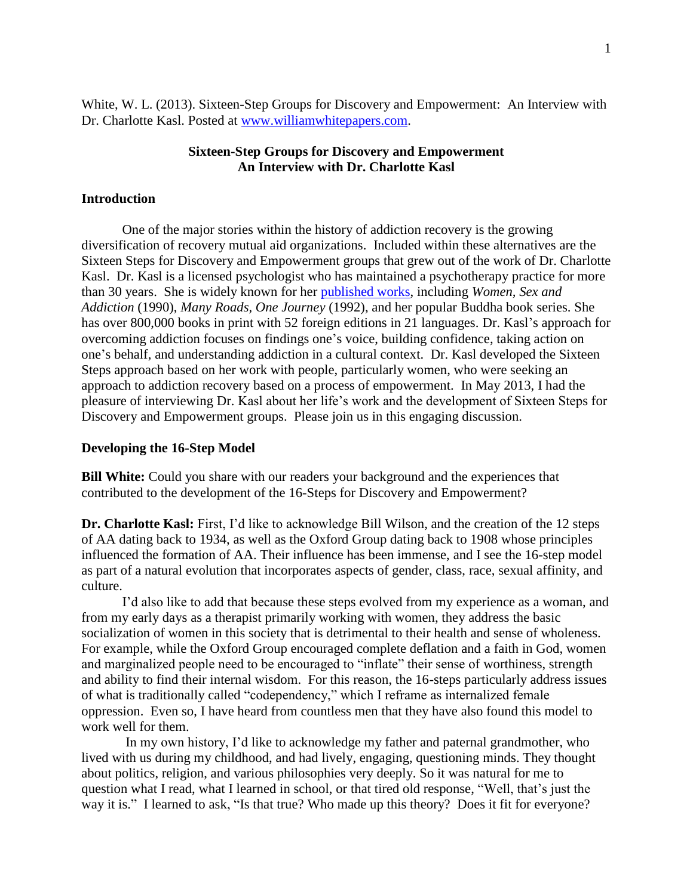White, W. L. (2013). Sixteen-Step Groups for Discovery and Empowerment: An Interview with Dr. Charlotte Kasl. Posted at [www.williamwhitepapers.com.](http://www.williamwhitepapers.com/)

## **Sixteen-Step Groups for Discovery and Empowerment An Interview with Dr. Charlotte Kasl**

## **Introduction**

One of the major stories within the history of addiction recovery is the growing diversification of recovery mutual aid organizations. Included within these alternatives are the Sixteen Steps for Discovery and Empowerment groups that grew out of the work of Dr. Charlotte Kasl. Dr. Kasl is a licensed psychologist who has maintained a psychotherapy practice for more than 30 years. She is widely known for her [published works,](http://charlottekasl.com/books-2/) including *Women, Sex and Addiction* (1990), *Many Roads, One Journey* (1992), and her popular Buddha book series. She has over 800,000 books in print with 52 foreign editions in 21 languages. Dr. Kasl's approach for overcoming addiction focuses on findings one's voice, building confidence, taking action on one's behalf, and understanding addiction in a cultural context. Dr. Kasl developed the Sixteen Steps approach based on her work with people, particularly women, who were seeking an approach to addiction recovery based on a process of empowerment. In May 2013, I had the pleasure of interviewing Dr. Kasl about her life's work and the development of Sixteen Steps for Discovery and Empowerment groups. Please join us in this engaging discussion.

#### **Developing the 16-Step Model**

**Bill White:** Could you share with our readers your background and the experiences that contributed to the development of the 16-Steps for Discovery and Empowerment?

**Dr. Charlotte Kasl:** First, I'd like to acknowledge Bill Wilson, and the creation of the 12 steps of AA dating back to 1934, as well as the Oxford Group dating back to 1908 whose principles influenced the formation of AA. Their influence has been immense, and I see the 16-step model as part of a natural evolution that incorporates aspects of gender, class, race, sexual affinity, and culture.

I'd also like to add that because these steps evolved from my experience as a woman, and from my early days as a therapist primarily working with women, they address the basic socialization of women in this society that is detrimental to their health and sense of wholeness. For example, while the Oxford Group encouraged complete deflation and a faith in God, women and marginalized people need to be encouraged to "inflate" their sense of worthiness, strength and ability to find their internal wisdom. For this reason, the 16-steps particularly address issues of what is traditionally called "codependency," which I reframe as internalized female oppression. Even so, I have heard from countless men that they have also found this model to work well for them.

In my own history, I'd like to acknowledge my father and paternal grandmother, who lived with us during my childhood, and had lively, engaging, questioning minds. They thought about politics, religion, and various philosophies very deeply. So it was natural for me to question what I read, what I learned in school, or that tired old response, "Well, that's just the way it is." I learned to ask, "Is that true? Who made up this theory? Does it fit for everyone?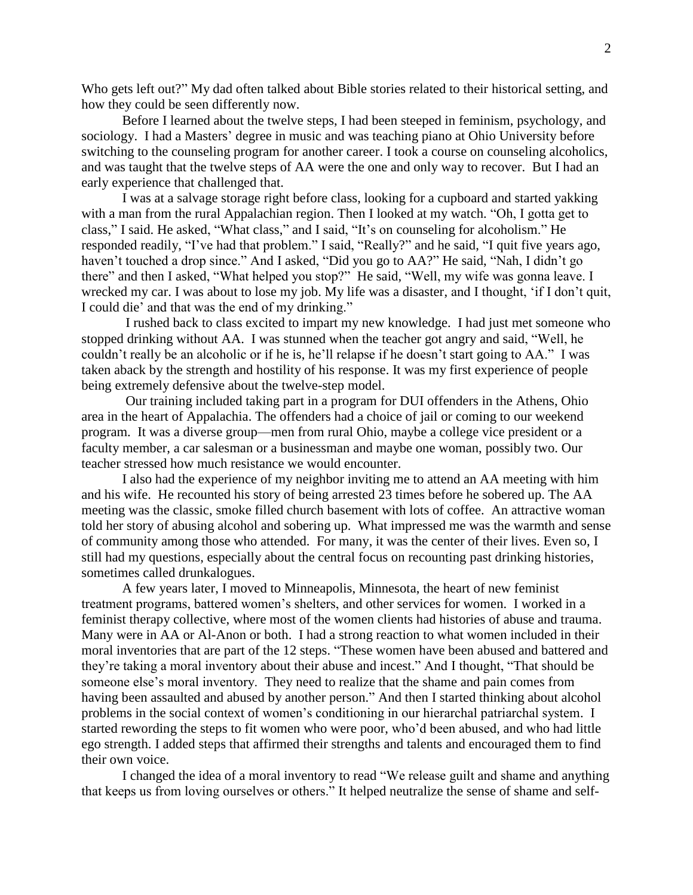Who gets left out?" My dad often talked about Bible stories related to their historical setting, and how they could be seen differently now.

Before I learned about the twelve steps, I had been steeped in feminism, psychology, and sociology. I had a Masters' degree in music and was teaching piano at Ohio University before switching to the counseling program for another career. I took a course on counseling alcoholics, and was taught that the twelve steps of AA were the one and only way to recover. But I had an early experience that challenged that.

I was at a salvage storage right before class, looking for a cupboard and started yakking with a man from the rural Appalachian region. Then I looked at my watch. "Oh, I gotta get to class," I said. He asked, "What class," and I said, "It's on counseling for alcoholism." He responded readily, "I've had that problem." I said, "Really?" and he said, "I quit five years ago, haven't touched a drop since." And I asked, "Did you go to AA?" He said, "Nah, I didn't go there" and then I asked, "What helped you stop?" He said, "Well, my wife was gonna leave. I wrecked my car. I was about to lose my job. My life was a disaster, and I thought, 'if I don't quit, I could die' and that was the end of my drinking."

I rushed back to class excited to impart my new knowledge. I had just met someone who stopped drinking without AA. I was stunned when the teacher got angry and said, "Well, he couldn't really be an alcoholic or if he is, he'll relapse if he doesn't start going to AA." I was taken aback by the strength and hostility of his response. It was my first experience of people being extremely defensive about the twelve-step model.

Our training included taking part in a program for DUI offenders in the Athens, Ohio area in the heart of Appalachia. The offenders had a choice of jail or coming to our weekend program. It was a diverse group—men from rural Ohio, maybe a college vice president or a faculty member, a car salesman or a businessman and maybe one woman, possibly two. Our teacher stressed how much resistance we would encounter.

I also had the experience of my neighbor inviting me to attend an AA meeting with him and his wife. He recounted his story of being arrested 23 times before he sobered up. The AA meeting was the classic, smoke filled church basement with lots of coffee. An attractive woman told her story of abusing alcohol and sobering up. What impressed me was the warmth and sense of community among those who attended. For many, it was the center of their lives. Even so, I still had my questions, especially about the central focus on recounting past drinking histories, sometimes called drunkalogues.

A few years later, I moved to Minneapolis, Minnesota, the heart of new feminist treatment programs, battered women's shelters, and other services for women. I worked in a feminist therapy collective, where most of the women clients had histories of abuse and trauma. Many were in AA or Al-Anon or both. I had a strong reaction to what women included in their moral inventories that are part of the 12 steps. "These women have been abused and battered and they're taking a moral inventory about their abuse and incest." And I thought, "That should be someone else's moral inventory. They need to realize that the shame and pain comes from having been assaulted and abused by another person." And then I started thinking about alcohol problems in the social context of women's conditioning in our hierarchal patriarchal system. I started rewording the steps to fit women who were poor, who'd been abused, and who had little ego strength. I added steps that affirmed their strengths and talents and encouraged them to find their own voice.

I changed the idea of a moral inventory to read "We release guilt and shame and anything that keeps us from loving ourselves or others." It helped neutralize the sense of shame and self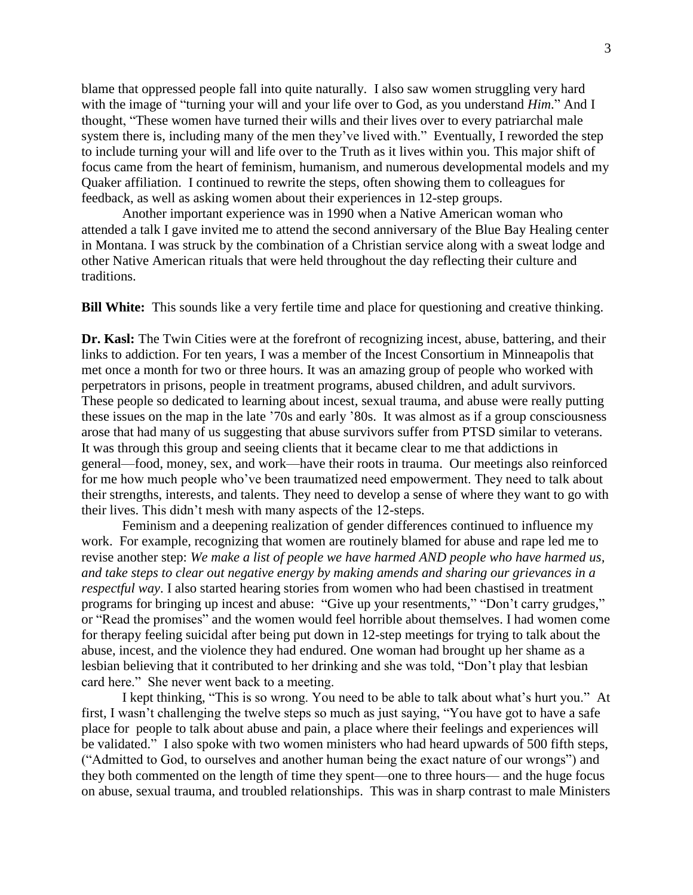blame that oppressed people fall into quite naturally. I also saw women struggling very hard with the image of "turning your will and your life over to God, as you understand *Him*." And I thought, "These women have turned their wills and their lives over to every patriarchal male system there is, including many of the men they've lived with." Eventually, I reworded the step to include turning your will and life over to the Truth as it lives within you. This major shift of focus came from the heart of feminism, humanism, and numerous developmental models and my Quaker affiliation. I continued to rewrite the steps, often showing them to colleagues for feedback, as well as asking women about their experiences in 12-step groups.

Another important experience was in 1990 when a Native American woman who attended a talk I gave invited me to attend the second anniversary of the Blue Bay Healing center in Montana. I was struck by the combination of a Christian service along with a sweat lodge and other Native American rituals that were held throughout the day reflecting their culture and traditions.

**Bill White:** This sounds like a very fertile time and place for questioning and creative thinking.

**Dr. Kasl:** The Twin Cities were at the forefront of recognizing incest, abuse, battering, and their links to addiction. For ten years, I was a member of the Incest Consortium in Minneapolis that met once a month for two or three hours. It was an amazing group of people who worked with perpetrators in prisons, people in treatment programs, abused children, and adult survivors. These people so dedicated to learning about incest, sexual trauma, and abuse were really putting these issues on the map in the late '70s and early '80s. It was almost as if a group consciousness arose that had many of us suggesting that abuse survivors suffer from PTSD similar to veterans. It was through this group and seeing clients that it became clear to me that addictions in general—food, money, sex, and work—have their roots in trauma. Our meetings also reinforced for me how much people who've been traumatized need empowerment. They need to talk about their strengths, interests, and talents. They need to develop a sense of where they want to go with their lives. This didn't mesh with many aspects of the 12-steps.

Feminism and a deepening realization of gender differences continued to influence my work. For example, recognizing that women are routinely blamed for abuse and rape led me to revise another step: *We make a list of people we have harmed AND people who have harmed us, and take steps to clear out negative energy by making amends and sharing our grievances in a respectful way*. I also started hearing stories from women who had been chastised in treatment programs for bringing up incest and abuse: "Give up your resentments," "Don't carry grudges," or "Read the promises" and the women would feel horrible about themselves. I had women come for therapy feeling suicidal after being put down in 12-step meetings for trying to talk about the abuse, incest, and the violence they had endured. One woman had brought up her shame as a lesbian believing that it contributed to her drinking and she was told, "Don't play that lesbian card here." She never went back to a meeting.

I kept thinking, "This is so wrong. You need to be able to talk about what's hurt you." At first, I wasn't challenging the twelve steps so much as just saying, "You have got to have a safe place for people to talk about abuse and pain, a place where their feelings and experiences will be validated." I also spoke with two women ministers who had heard upwards of 500 fifth steps, ("Admitted to God, to ourselves and another human being the exact nature of our wrongs") and they both commented on the length of time they spent—one to three hours— and the huge focus on abuse, sexual trauma, and troubled relationships. This was in sharp contrast to male Ministers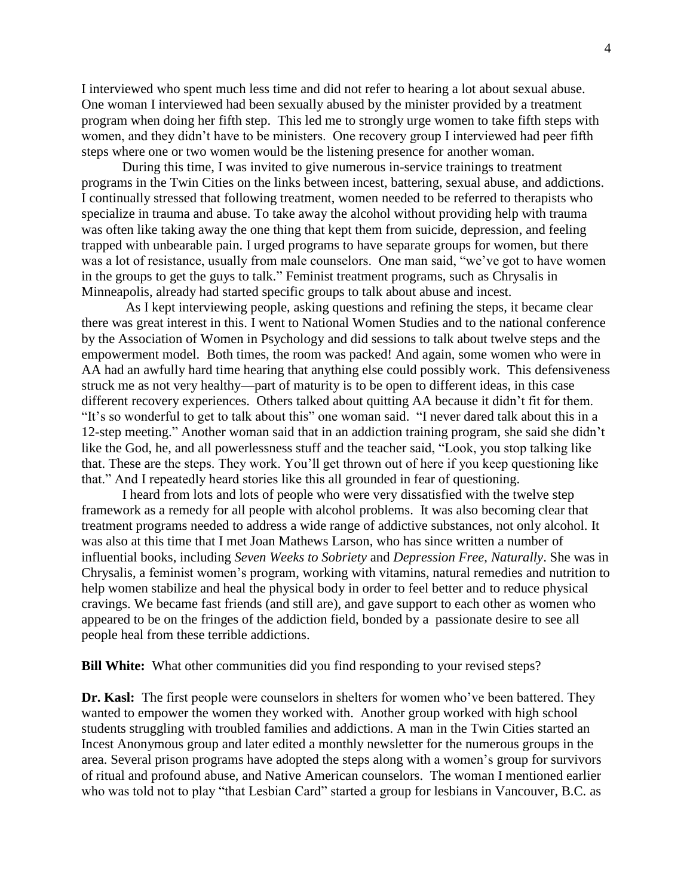I interviewed who spent much less time and did not refer to hearing a lot about sexual abuse. One woman I interviewed had been sexually abused by the minister provided by a treatment program when doing her fifth step. This led me to strongly urge women to take fifth steps with women, and they didn't have to be ministers. One recovery group I interviewed had peer fifth steps where one or two women would be the listening presence for another woman.

During this time, I was invited to give numerous in-service trainings to treatment programs in the Twin Cities on the links between incest, battering, sexual abuse, and addictions. I continually stressed that following treatment, women needed to be referred to therapists who specialize in trauma and abuse. To take away the alcohol without providing help with trauma was often like taking away the one thing that kept them from suicide, depression, and feeling trapped with unbearable pain. I urged programs to have separate groups for women, but there was a lot of resistance, usually from male counselors. One man said, "we've got to have women in the groups to get the guys to talk." Feminist treatment programs, such as Chrysalis in Minneapolis, already had started specific groups to talk about abuse and incest.

As I kept interviewing people, asking questions and refining the steps, it became clear there was great interest in this. I went to National Women Studies and to the national conference by the Association of Women in Psychology and did sessions to talk about twelve steps and the empowerment model. Both times, the room was packed! And again, some women who were in AA had an awfully hard time hearing that anything else could possibly work. This defensiveness struck me as not very healthy—part of maturity is to be open to different ideas, in this case different recovery experiences. Others talked about quitting AA because it didn't fit for them. "It's so wonderful to get to talk about this" one woman said. "I never dared talk about this in a 12-step meeting." Another woman said that in an addiction training program, she said she didn't like the God, he, and all powerlessness stuff and the teacher said, "Look, you stop talking like that. These are the steps. They work. You'll get thrown out of here if you keep questioning like that." And I repeatedly heard stories like this all grounded in fear of questioning.

I heard from lots and lots of people who were very dissatisfied with the twelve step framework as a remedy for all people with alcohol problems. It was also becoming clear that treatment programs needed to address a wide range of addictive substances, not only alcohol. It was also at this time that I met Joan Mathews Larson, who has since written a number of influential books, including *Seven Weeks to Sobriety* and *Depression Free, Naturally*. She was in Chrysalis, a feminist women's program, working with vitamins, natural remedies and nutrition to help women stabilize and heal the physical body in order to feel better and to reduce physical cravings. We became fast friends (and still are), and gave support to each other as women who appeared to be on the fringes of the addiction field, bonded by a passionate desire to see all people heal from these terrible addictions.

**Bill White:** What other communities did you find responding to your revised steps?

**Dr. Kasl:** The first people were counselors in shelters for women who've been battered. They wanted to empower the women they worked with. Another group worked with high school students struggling with troubled families and addictions. A man in the Twin Cities started an Incest Anonymous group and later edited a monthly newsletter for the numerous groups in the area. Several prison programs have adopted the steps along with a women's group for survivors of ritual and profound abuse, and Native American counselors. The woman I mentioned earlier who was told not to play "that Lesbian Card" started a group for lesbians in Vancouver, B.C. as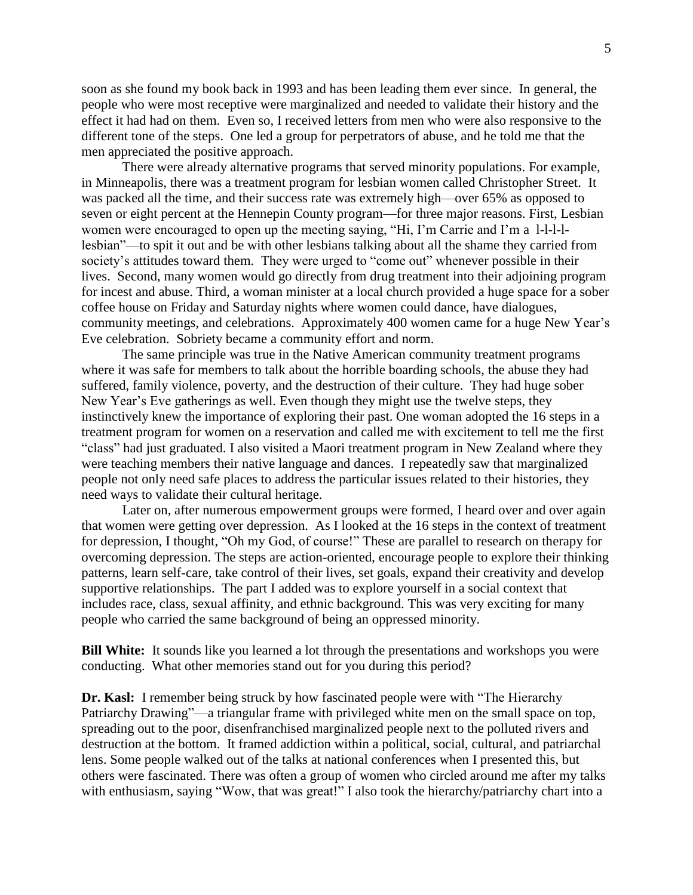soon as she found my book back in 1993 and has been leading them ever since. In general, the people who were most receptive were marginalized and needed to validate their history and the effect it had had on them. Even so, I received letters from men who were also responsive to the different tone of the steps. One led a group for perpetrators of abuse, and he told me that the men appreciated the positive approach.

There were already alternative programs that served minority populations. For example, in Minneapolis, there was a treatment program for lesbian women called Christopher Street. It was packed all the time, and their success rate was extremely high—over 65% as opposed to seven or eight percent at the Hennepin County program—for three major reasons. First, Lesbian women were encouraged to open up the meeting saying, "Hi, I'm Carrie and I'm a l-l-l-llesbian"—to spit it out and be with other lesbians talking about all the shame they carried from society's attitudes toward them. They were urged to "come out" whenever possible in their lives. Second, many women would go directly from drug treatment into their adjoining program for incest and abuse. Third, a woman minister at a local church provided a huge space for a sober coffee house on Friday and Saturday nights where women could dance, have dialogues, community meetings, and celebrations. Approximately 400 women came for a huge New Year's Eve celebration. Sobriety became a community effort and norm.

The same principle was true in the Native American community treatment programs where it was safe for members to talk about the horrible boarding schools, the abuse they had suffered, family violence, poverty, and the destruction of their culture. They had huge sober New Year's Eve gatherings as well. Even though they might use the twelve steps, they instinctively knew the importance of exploring their past. One woman adopted the 16 steps in a treatment program for women on a reservation and called me with excitement to tell me the first "class" had just graduated. I also visited a Maori treatment program in New Zealand where they were teaching members their native language and dances. I repeatedly saw that marginalized people not only need safe places to address the particular issues related to their histories, they need ways to validate their cultural heritage.

Later on, after numerous empowerment groups were formed, I heard over and over again that women were getting over depression. As I looked at the 16 steps in the context of treatment for depression, I thought, "Oh my God, of course!" These are parallel to research on therapy for overcoming depression. The steps are action-oriented, encourage people to explore their thinking patterns, learn self-care, take control of their lives, set goals, expand their creativity and develop supportive relationships. The part I added was to explore yourself in a social context that includes race, class, sexual affinity, and ethnic background. This was very exciting for many people who carried the same background of being an oppressed minority.

**Bill White:** It sounds like you learned a lot through the presentations and workshops you were conducting. What other memories stand out for you during this period?

**Dr. Kasl:** I remember being struck by how fascinated people were with "The Hierarchy Patriarchy Drawing"—a triangular frame with privileged white men on the small space on top, spreading out to the poor, disenfranchised marginalized people next to the polluted rivers and destruction at the bottom. It framed addiction within a political, social, cultural, and patriarchal lens. Some people walked out of the talks at national conferences when I presented this, but others were fascinated. There was often a group of women who circled around me after my talks with enthusiasm, saying "Wow, that was great!" I also took the hierarchy/patriarchy chart into a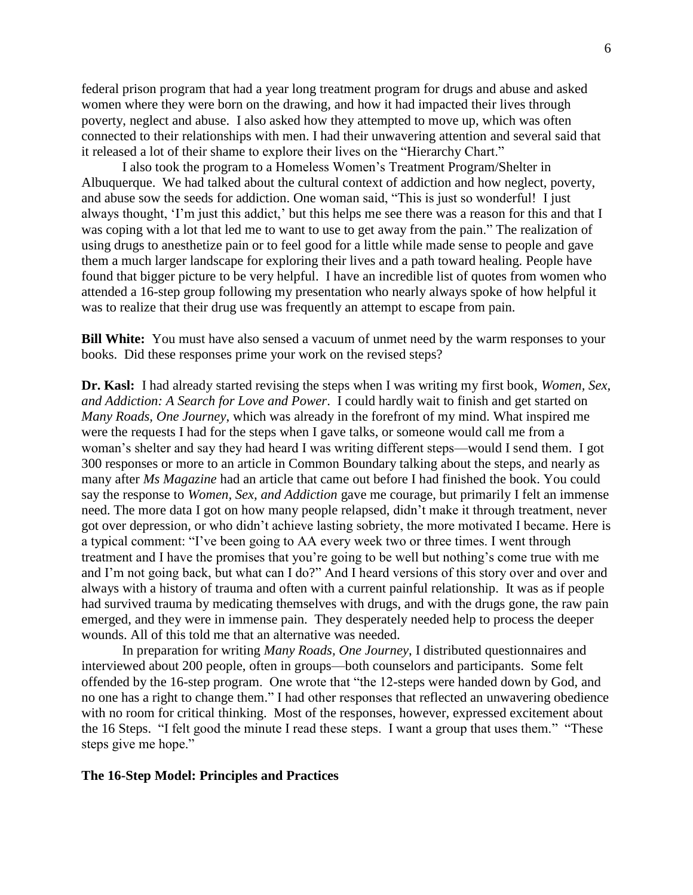federal prison program that had a year long treatment program for drugs and abuse and asked women where they were born on the drawing, and how it had impacted their lives through poverty, neglect and abuse. I also asked how they attempted to move up, which was often connected to their relationships with men. I had their unwavering attention and several said that it released a lot of their shame to explore their lives on the "Hierarchy Chart."

I also took the program to a Homeless Women's Treatment Program/Shelter in Albuquerque. We had talked about the cultural context of addiction and how neglect, poverty, and abuse sow the seeds for addiction. One woman said, "This is just so wonderful! I just always thought, 'I'm just this addict,' but this helps me see there was a reason for this and that I was coping with a lot that led me to want to use to get away from the pain." The realization of using drugs to anesthetize pain or to feel good for a little while made sense to people and gave them a much larger landscape for exploring their lives and a path toward healing. People have found that bigger picture to be very helpful. I have an incredible list of quotes from women who attended a 16-step group following my presentation who nearly always spoke of how helpful it was to realize that their drug use was frequently an attempt to escape from pain.

**Bill White:** You must have also sensed a vacuum of unmet need by the warm responses to your books. Did these responses prime your work on the revised steps?

**Dr. Kasl:** I had already started revising the steps when I was writing my first book, *Women, Sex, and Addiction: A Search for Love and Power*. I could hardly wait to finish and get started on *Many Roads, One Journey*, which was already in the forefront of my mind. What inspired me were the requests I had for the steps when I gave talks, or someone would call me from a woman's shelter and say they had heard I was writing different steps—would I send them. I got 300 responses or more to an article in Common Boundary talking about the steps, and nearly as many after *Ms Magazine* had an article that came out before I had finished the book. You could say the response to *Women, Sex, and Addiction* gave me courage, but primarily I felt an immense need. The more data I got on how many people relapsed, didn't make it through treatment, never got over depression, or who didn't achieve lasting sobriety, the more motivated I became. Here is a typical comment: "I've been going to AA every week two or three times. I went through treatment and I have the promises that you're going to be well but nothing's come true with me and I'm not going back, but what can I do?" And I heard versions of this story over and over and always with a history of trauma and often with a current painful relationship. It was as if people had survived trauma by medicating themselves with drugs, and with the drugs gone, the raw pain emerged, and they were in immense pain. They desperately needed help to process the deeper wounds. All of this told me that an alternative was needed.

In preparation for writing *Many Roads, One Journey*, I distributed questionnaires and interviewed about 200 people, often in groups—both counselors and participants. Some felt offended by the 16-step program. One wrote that "the 12-steps were handed down by God, and no one has a right to change them." I had other responses that reflected an unwavering obedience with no room for critical thinking. Most of the responses, however, expressed excitement about the 16 Steps. "I felt good the minute I read these steps. I want a group that uses them." "These steps give me hope."

#### **The 16-Step Model: Principles and Practices**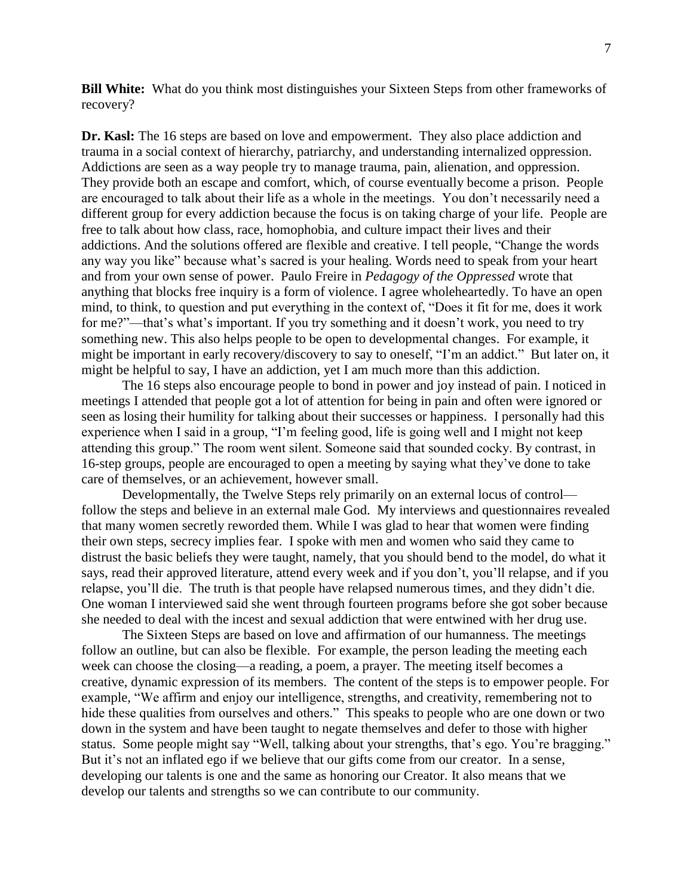**Bill White:** What do you think most distinguishes your Sixteen Steps from other frameworks of recovery?

**Dr. Kasl:** The 16 steps are based on love and empowerment. They also place addiction and trauma in a social context of hierarchy, patriarchy, and understanding internalized oppression. Addictions are seen as a way people try to manage trauma, pain, alienation, and oppression. They provide both an escape and comfort, which, of course eventually become a prison. People are encouraged to talk about their life as a whole in the meetings. You don't necessarily need a different group for every addiction because the focus is on taking charge of your life. People are free to talk about how class, race, homophobia, and culture impact their lives and their addictions. And the solutions offered are flexible and creative. I tell people, "Change the words any way you like" because what's sacred is your healing. Words need to speak from your heart and from your own sense of power. Paulo Freire in *Pedagogy of the Oppressed* wrote that anything that blocks free inquiry is a form of violence. I agree wholeheartedly. To have an open mind, to think, to question and put everything in the context of, "Does it fit for me, does it work for me?"—that's what's important. If you try something and it doesn't work, you need to try something new. This also helps people to be open to developmental changes. For example, it might be important in early recovery/discovery to say to oneself, "I'm an addict." But later on, it might be helpful to say, I have an addiction, yet I am much more than this addiction.

The 16 steps also encourage people to bond in power and joy instead of pain. I noticed in meetings I attended that people got a lot of attention for being in pain and often were ignored or seen as losing their humility for talking about their successes or happiness. I personally had this experience when I said in a group, "I'm feeling good, life is going well and I might not keep attending this group." The room went silent. Someone said that sounded cocky. By contrast, in 16-step groups, people are encouraged to open a meeting by saying what they've done to take care of themselves, or an achievement, however small.

Developmentally, the Twelve Steps rely primarily on an external locus of control follow the steps and believe in an external male God. My interviews and questionnaires revealed that many women secretly reworded them. While I was glad to hear that women were finding their own steps, secrecy implies fear. I spoke with men and women who said they came to distrust the basic beliefs they were taught, namely, that you should bend to the model, do what it says, read their approved literature, attend every week and if you don't, you'll relapse, and if you relapse, you'll die. The truth is that people have relapsed numerous times, and they didn't die. One woman I interviewed said she went through fourteen programs before she got sober because she needed to deal with the incest and sexual addiction that were entwined with her drug use.

The Sixteen Steps are based on love and affirmation of our humanness. The meetings follow an outline, but can also be flexible. For example, the person leading the meeting each week can choose the closing—a reading, a poem, a prayer. The meeting itself becomes a creative, dynamic expression of its members. The content of the steps is to empower people. For example, "We affirm and enjoy our intelligence, strengths, and creativity, remembering not to hide these qualities from ourselves and others." This speaks to people who are one down or two down in the system and have been taught to negate themselves and defer to those with higher status. Some people might say "Well, talking about your strengths, that's ego. You're bragging." But it's not an inflated ego if we believe that our gifts come from our creator. In a sense, developing our talents is one and the same as honoring our Creator. It also means that we develop our talents and strengths so we can contribute to our community.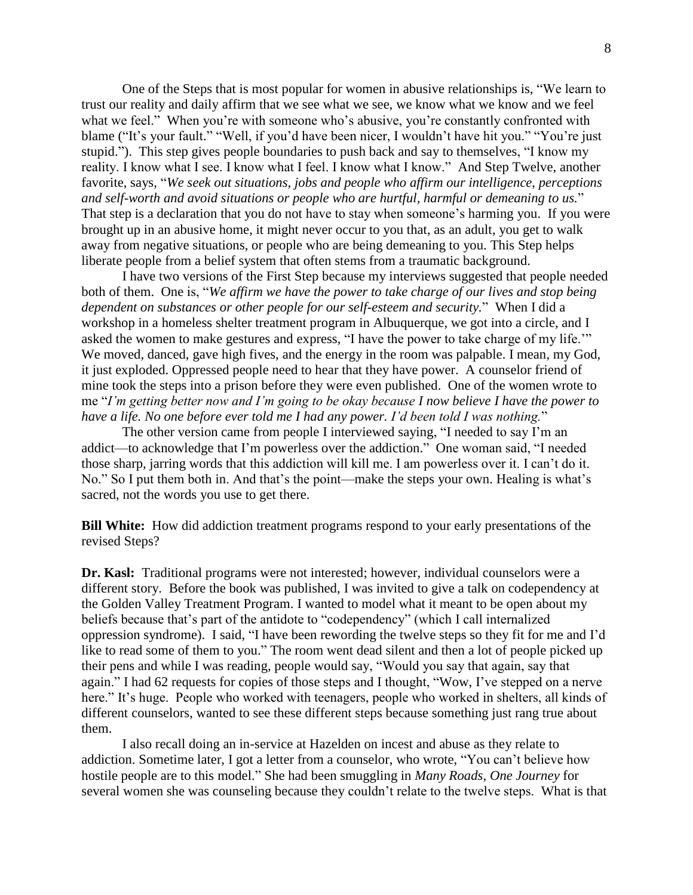One of the Steps that is most popular for women in abusive relationships is, "We learn to trust our reality and daily affirm that we see what we see, we know what we know and we feel what we feel." When you're with someone who's abusive, you're constantly confronted with blame ("It's your fault." "Well, if you'd have been nicer, I wouldn't have hit you." "You're just stupid."). This step gives people boundaries to push back and say to themselves, "I know my reality. I know what I see. I know what I feel. I know what I know." And Step Twelve, another favorite, says, "*We seek out situations, jobs and people who affirm our intelligence, perceptions and self-worth and avoid situations or people who are hurtful, harmful or demeaning to us.*" That step is a declaration that you do not have to stay when someone's harming you. If you were brought up in an abusive home, it might never occur to you that, as an adult, you get to walk away from negative situations, or people who are being demeaning to you. This Step helps liberate people from a belief system that often stems from a traumatic background.

I have two versions of the First Step because my interviews suggested that people needed both of them. One is, "*We affirm we have the power to take charge of our lives and stop being dependent on substances or other people for our self-esteem and security.*" When I did a workshop in a homeless shelter treatment program in Albuquerque, we got into a circle, and I asked the women to make gestures and express, "I have the power to take charge of my life.'" We moved, danced, gave high fives, and the energy in the room was palpable. I mean, my God, it just exploded. Oppressed people need to hear that they have power. A counselor friend of mine took the steps into a prison before they were even published. One of the women wrote to me "*I'm getting better now and I'm going to be okay because I now believe I have the power to have a life. No one before ever told me I had any power. I'd been told I was nothing.*"

The other version came from people I interviewed saying, "I needed to say I'm an addict—to acknowledge that I'm powerless over the addiction." One woman said, "I needed those sharp, jarring words that this addiction will kill me. I am powerless over it. I can't do it. No." So I put them both in. And that's the point—make the steps your own. Healing is what's sacred, not the words you use to get there.

**Bill White:** How did addiction treatment programs respond to your early presentations of the revised Steps?

**Dr. Kasl:** Traditional programs were not interested; however, individual counselors were a different story. Before the book was published, I was invited to give a talk on codependency at the Golden Valley Treatment Program. I wanted to model what it meant to be open about my beliefs because that's part of the antidote to "codependency" (which I call internalized oppression syndrome). I said, "I have been rewording the twelve steps so they fit for me and I'd like to read some of them to you." The room went dead silent and then a lot of people picked up their pens and while I was reading, people would say, "Would you say that again, say that again." I had 62 requests for copies of those steps and I thought, "Wow, I've stepped on a nerve here." It's huge. People who worked with teenagers, people who worked in shelters, all kinds of different counselors, wanted to see these different steps because something just rang true about them.

I also recall doing an in-service at Hazelden on incest and abuse as they relate to addiction. Sometime later, I got a letter from a counselor, who wrote, "You can't believe how hostile people are to this model." She had been smuggling in *Many Roads, One Journey* for several women she was counseling because they couldn't relate to the twelve steps. What is that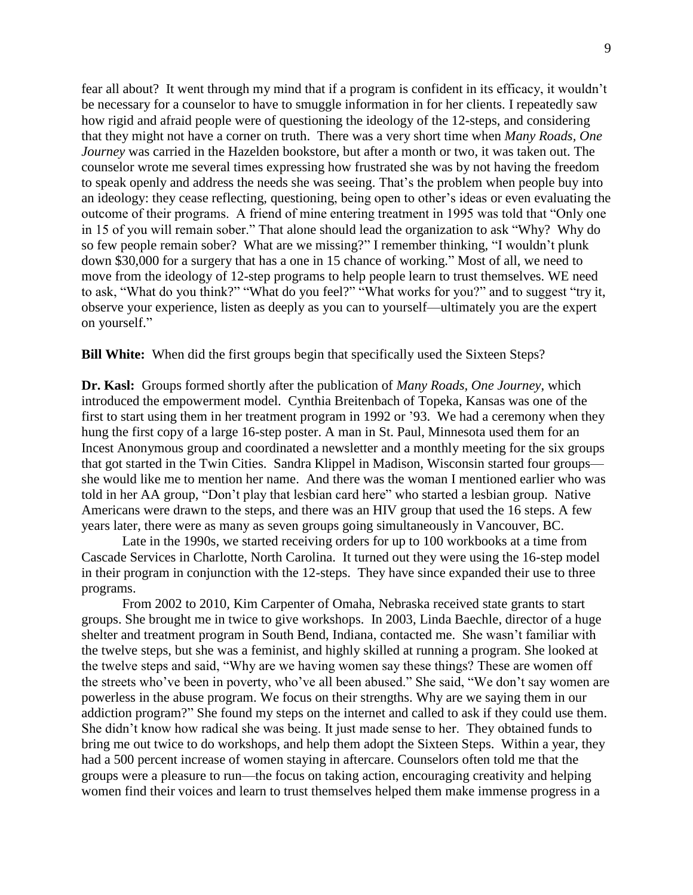fear all about? It went through my mind that if a program is confident in its efficacy, it wouldn't be necessary for a counselor to have to smuggle information in for her clients. I repeatedly saw how rigid and afraid people were of questioning the ideology of the 12-steps, and considering that they might not have a corner on truth. There was a very short time when *Many Roads, One Journey* was carried in the Hazelden bookstore, but after a month or two, it was taken out. The counselor wrote me several times expressing how frustrated she was by not having the freedom to speak openly and address the needs she was seeing. That's the problem when people buy into an ideology: they cease reflecting, questioning, being open to other's ideas or even evaluating the outcome of their programs. A friend of mine entering treatment in 1995 was told that "Only one in 15 of you will remain sober." That alone should lead the organization to ask "Why? Why do so few people remain sober? What are we missing?" I remember thinking, "I wouldn't plunk down \$30,000 for a surgery that has a one in 15 chance of working." Most of all, we need to move from the ideology of 12-step programs to help people learn to trust themselves. WE need to ask, "What do you think?" "What do you feel?" "What works for you?" and to suggest "try it, observe your experience, listen as deeply as you can to yourself—ultimately you are the expert on yourself."

**Bill White:** When did the first groups begin that specifically used the Sixteen Steps?

**Dr. Kasl:** Groups formed shortly after the publication of *Many Roads, One Journey*, which introduced the empowerment model. Cynthia Breitenbach of Topeka, Kansas was one of the first to start using them in her treatment program in 1992 or '93. We had a ceremony when they hung the first copy of a large 16-step poster. A man in St. Paul, Minnesota used them for an Incest Anonymous group and coordinated a newsletter and a monthly meeting for the six groups that got started in the Twin Cities. Sandra Klippel in Madison, Wisconsin started four groups she would like me to mention her name. And there was the woman I mentioned earlier who was told in her AA group, "Don't play that lesbian card here" who started a lesbian group. Native Americans were drawn to the steps, and there was an HIV group that used the 16 steps. A few years later, there were as many as seven groups going simultaneously in Vancouver, BC.

Late in the 1990s, we started receiving orders for up to 100 workbooks at a time from Cascade Services in Charlotte, North Carolina. It turned out they were using the 16-step model in their program in conjunction with the 12-steps. They have since expanded their use to three programs.

From 2002 to 2010, Kim Carpenter of Omaha, Nebraska received state grants to start groups. She brought me in twice to give workshops. In 2003, Linda Baechle, director of a huge shelter and treatment program in South Bend, Indiana, contacted me. She wasn't familiar with the twelve steps, but she was a feminist, and highly skilled at running a program. She looked at the twelve steps and said, "Why are we having women say these things? These are women off the streets who've been in poverty, who've all been abused." She said, "We don't say women are powerless in the abuse program. We focus on their strengths. Why are we saying them in our addiction program?" She found my steps on the internet and called to ask if they could use them. She didn't know how radical she was being. It just made sense to her. They obtained funds to bring me out twice to do workshops, and help them adopt the Sixteen Steps. Within a year, they had a 500 percent increase of women staying in aftercare. Counselors often told me that the groups were a pleasure to run—the focus on taking action, encouraging creativity and helping women find their voices and learn to trust themselves helped them make immense progress in a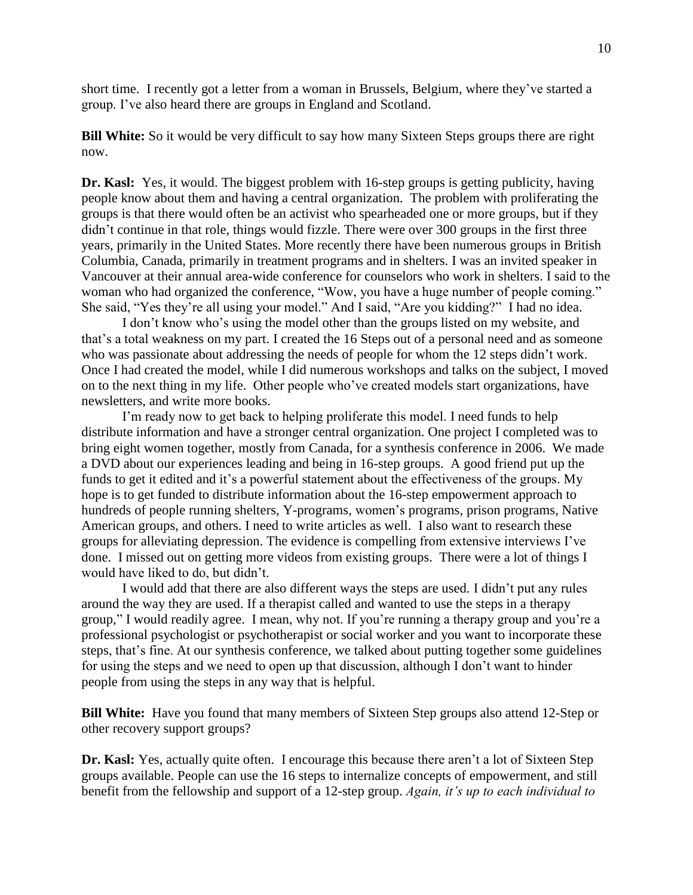short time. I recently got a letter from a woman in Brussels, Belgium, where they've started a group. I've also heard there are groups in England and Scotland.

**Bill White:** So it would be very difficult to say how many Sixteen Steps groups there are right now.

**Dr. Kasl:** Yes, it would. The biggest problem with 16-step groups is getting publicity, having people know about them and having a central organization. The problem with proliferating the groups is that there would often be an activist who spearheaded one or more groups, but if they didn't continue in that role, things would fizzle. There were over 300 groups in the first three years, primarily in the United States. More recently there have been numerous groups in British Columbia, Canada, primarily in treatment programs and in shelters. I was an invited speaker in Vancouver at their annual area-wide conference for counselors who work in shelters. I said to the woman who had organized the conference, "Wow, you have a huge number of people coming." She said, "Yes they're all using your model." And I said, "Are you kidding?" I had no idea.

I don't know who's using the model other than the groups listed on my website, and that's a total weakness on my part. I created the 16 Steps out of a personal need and as someone who was passionate about addressing the needs of people for whom the 12 steps didn't work. Once I had created the model, while I did numerous workshops and talks on the subject, I moved on to the next thing in my life. Other people who've created models start organizations, have newsletters, and write more books.

I'm ready now to get back to helping proliferate this model. I need funds to help distribute information and have a stronger central organization. One project I completed was to bring eight women together, mostly from Canada, for a synthesis conference in 2006. We made a DVD about our experiences leading and being in 16-step groups. A good friend put up the funds to get it edited and it's a powerful statement about the effectiveness of the groups. My hope is to get funded to distribute information about the 16-step empowerment approach to hundreds of people running shelters, Y-programs, women's programs, prison programs, Native American groups, and others. I need to write articles as well. I also want to research these groups for alleviating depression. The evidence is compelling from extensive interviews I've done. I missed out on getting more videos from existing groups. There were a lot of things I would have liked to do, but didn't.

I would add that there are also different ways the steps are used. I didn't put any rules around the way they are used. If a therapist called and wanted to use the steps in a therapy group," I would readily agree. I mean, why not. If you're running a therapy group and you're a professional psychologist or psychotherapist or social worker and you want to incorporate these steps, that's fine. At our synthesis conference, we talked about putting together some guidelines for using the steps and we need to open up that discussion, although I don't want to hinder people from using the steps in any way that is helpful.

**Bill White:** Have you found that many members of Sixteen Step groups also attend 12-Step or other recovery support groups?

**Dr. Kasl:** Yes, actually quite often. I encourage this because there aren't a lot of Sixteen Step groups available. People can use the 16 steps to internalize concepts of empowerment, and still benefit from the fellowship and support of a 12-step group. *Again, it's up to each individual to*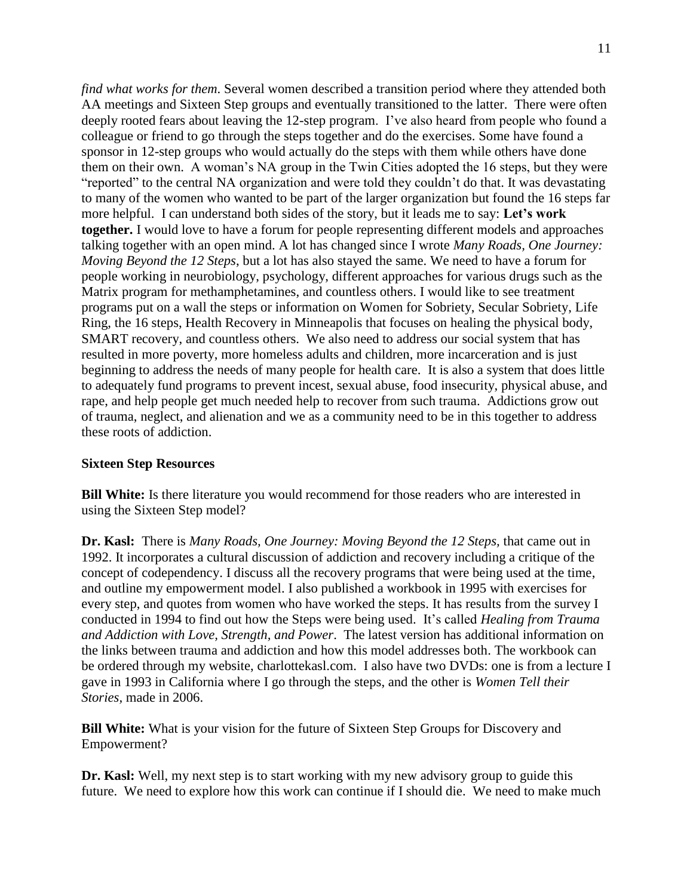*find what works for them*. Several women described a transition period where they attended both AA meetings and Sixteen Step groups and eventually transitioned to the latter. There were often deeply rooted fears about leaving the 12-step program. I've also heard from people who found a colleague or friend to go through the steps together and do the exercises. Some have found a sponsor in 12-step groups who would actually do the steps with them while others have done them on their own. A woman's NA group in the Twin Cities adopted the 16 steps, but they were "reported" to the central NA organization and were told they couldn't do that. It was devastating to many of the women who wanted to be part of the larger organization but found the 16 steps far more helpful. I can understand both sides of the story, but it leads me to say: **Let's work together.** I would love to have a forum for people representing different models and approaches talking together with an open mind. A lot has changed since I wrote *Many Roads, One Journey: Moving Beyond the 12 Steps*, but a lot has also stayed the same. We need to have a forum for people working in neurobiology, psychology, different approaches for various drugs such as the Matrix program for methamphetamines, and countless others. I would like to see treatment programs put on a wall the steps or information on Women for Sobriety, Secular Sobriety, Life Ring, the 16 steps, Health Recovery in Minneapolis that focuses on healing the physical body, SMART recovery, and countless others. We also need to address our social system that has resulted in more poverty, more homeless adults and children, more incarceration and is just beginning to address the needs of many people for health care. It is also a system that does little to adequately fund programs to prevent incest, sexual abuse, food insecurity, physical abuse, and rape, and help people get much needed help to recover from such trauma. Addictions grow out of trauma, neglect, and alienation and we as a community need to be in this together to address these roots of addiction.

## **Sixteen Step Resources**

**Bill White:** Is there literature you would recommend for those readers who are interested in using the Sixteen Step model?

**Dr. Kasl:** There is *Many Roads, One Journey: Moving Beyond the 12 Steps,* that came out in 1992. It incorporates a cultural discussion of addiction and recovery including a critique of the concept of codependency. I discuss all the recovery programs that were being used at the time, and outline my empowerment model. I also published a workbook in 1995 with exercises for every step, and quotes from women who have worked the steps. It has results from the survey I conducted in 1994 to find out how the Steps were being used. It's called *Healing from Trauma and Addiction with Love, Strength, and Power*. The latest version has additional information on the links between trauma and addiction and how this model addresses both. The workbook can be ordered through my website, charlottekasl.com. I also have two DVDs: one is from a lecture I gave in 1993 in California where I go through the steps, and the other is *Women Tell their Stories,* made in 2006.

**Bill White:** What is your vision for the future of Sixteen Step Groups for Discovery and Empowerment?

**Dr. Kasl:** Well, my next step is to start working with my new advisory group to guide this future. We need to explore how this work can continue if I should die. We need to make much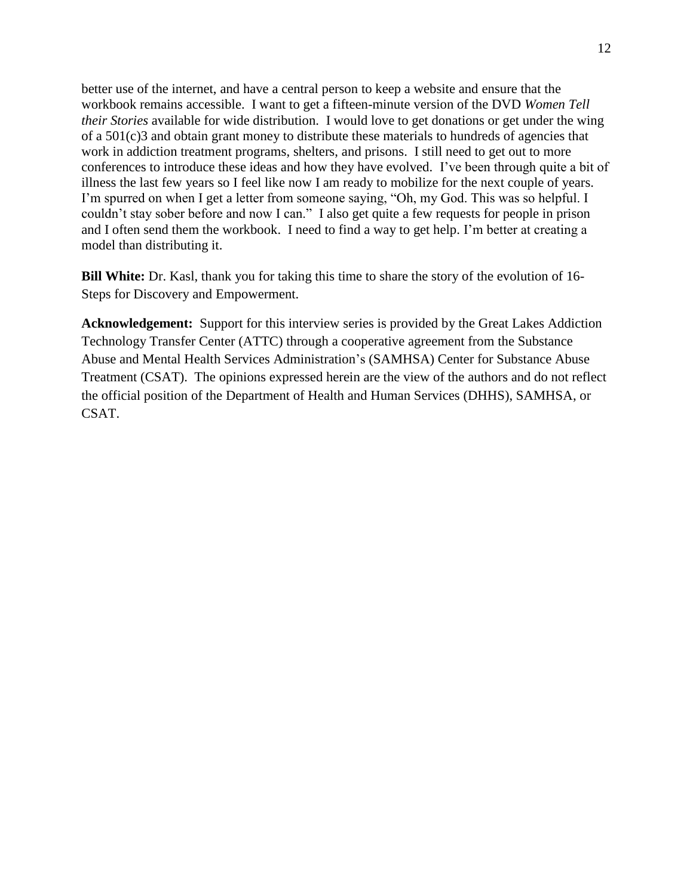better use of the internet, and have a central person to keep a website and ensure that the workbook remains accessible. I want to get a fifteen-minute version of the DVD *Women Tell their Stories* available for wide distribution. I would love to get donations or get under the wing of a 501(c)3 and obtain grant money to distribute these materials to hundreds of agencies that work in addiction treatment programs, shelters, and prisons. I still need to get out to more conferences to introduce these ideas and how they have evolved. I've been through quite a bit of illness the last few years so I feel like now I am ready to mobilize for the next couple of years. I'm spurred on when I get a letter from someone saying, "Oh, my God. This was so helpful. I couldn't stay sober before and now I can." I also get quite a few requests for people in prison and I often send them the workbook. I need to find a way to get help. I'm better at creating a model than distributing it.

**Bill White:** Dr. Kasl, thank you for taking this time to share the story of the evolution of 16- Steps for Discovery and Empowerment.

**Acknowledgement:** Support for this interview series is provided by the Great Lakes Addiction Technology Transfer Center (ATTC) through a cooperative agreement from the Substance Abuse and Mental Health Services Administration's (SAMHSA) Center for Substance Abuse Treatment (CSAT). The opinions expressed herein are the view of the authors and do not reflect the official position of the Department of Health and Human Services (DHHS), SAMHSA, or CSAT.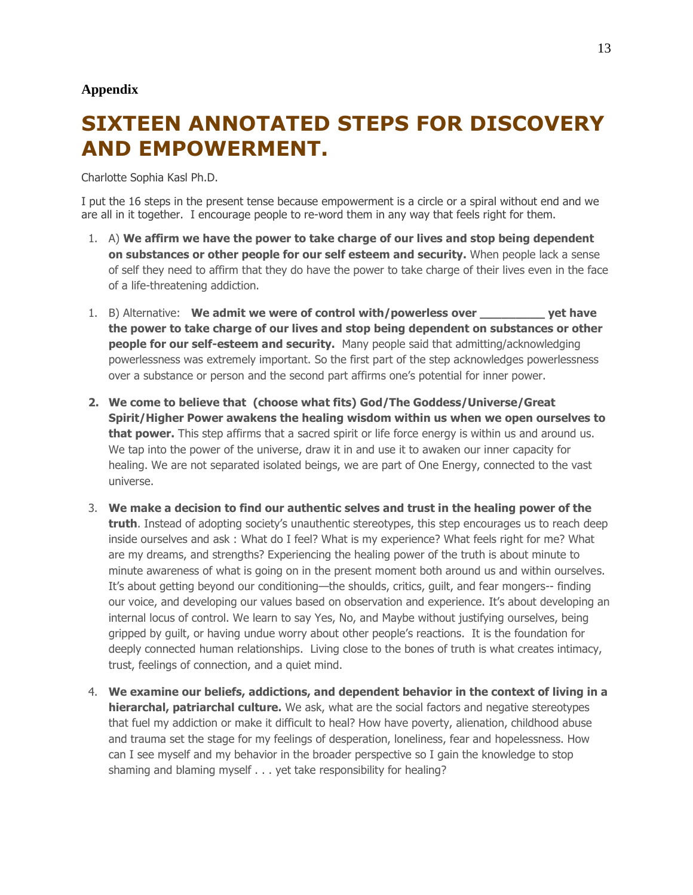#### **Appendix**

# **SIXTEEN ANNOTATED STEPS FOR DISCOVERY AND EMPOWERMENT.**

Charlotte Sophia Kasl Ph.D.

I put the 16 steps in the present tense because empowerment is a circle or a spiral without end and we are all in it together. I encourage people to re-word them in any way that feels right for them.

- 1. A) **We affirm we have the power to take charge of our lives and stop being dependent on substances or other people for our self esteem and security.** When people lack a sense of self they need to affirm that they do have the power to take charge of their lives even in the face of a life-threatening addiction.
- 1. B) Alternative: **We admit we were of control with/powerless over \_\_\_\_\_\_\_\_\_ yet have the power to take charge of our lives and stop being dependent on substances or other people for our self-esteem and security.** Many people said that admitting/acknowledging powerlessness was extremely important. So the first part of the step acknowledges powerlessness over a substance or person and the second part affirms one's potential for inner power.
- **2. We come to believe that (choose what fits) God/The Goddess/Universe/Great Spirit/Higher Power awakens the healing wisdom within us when we open ourselves to that power.** This step affirms that a sacred spirit or life force energy is within us and around us. We tap into the power of the universe, draw it in and use it to awaken our inner capacity for healing. We are not separated isolated beings, we are part of One Energy, connected to the vast universe.
- 3. **We make a decision to find our authentic selves and trust in the healing power of the truth**. Instead of adopting society's unauthentic stereotypes, this step encourages us to reach deep inside ourselves and ask : What do I feel? What is my experience? What feels right for me? What are my dreams, and strengths? Experiencing the healing power of the truth is about minute to minute awareness of what is going on in the present moment both around us and within ourselves. It's about getting beyond our conditioning—the shoulds, critics, guilt, and fear mongers-- finding our voice, and developing our values based on observation and experience. It's about developing an internal locus of control. We learn to say Yes, No, and Maybe without justifying ourselves, being gripped by guilt, or having undue worry about other people's reactions. It is the foundation for deeply connected human relationships. Living close to the bones of truth is what creates intimacy, trust, feelings of connection, and a quiet mind.
- 4. **We examine our beliefs, addictions, and dependent behavior in the context of living in a hierarchal, patriarchal culture.** We ask, what are the social factors and negative stereotypes that fuel my addiction or make it difficult to heal? How have poverty, alienation, childhood abuse and trauma set the stage for my feelings of desperation, loneliness, fear and hopelessness. How can I see myself and my behavior in the broader perspective so I gain the knowledge to stop shaming and blaming myself . . . yet take responsibility for healing?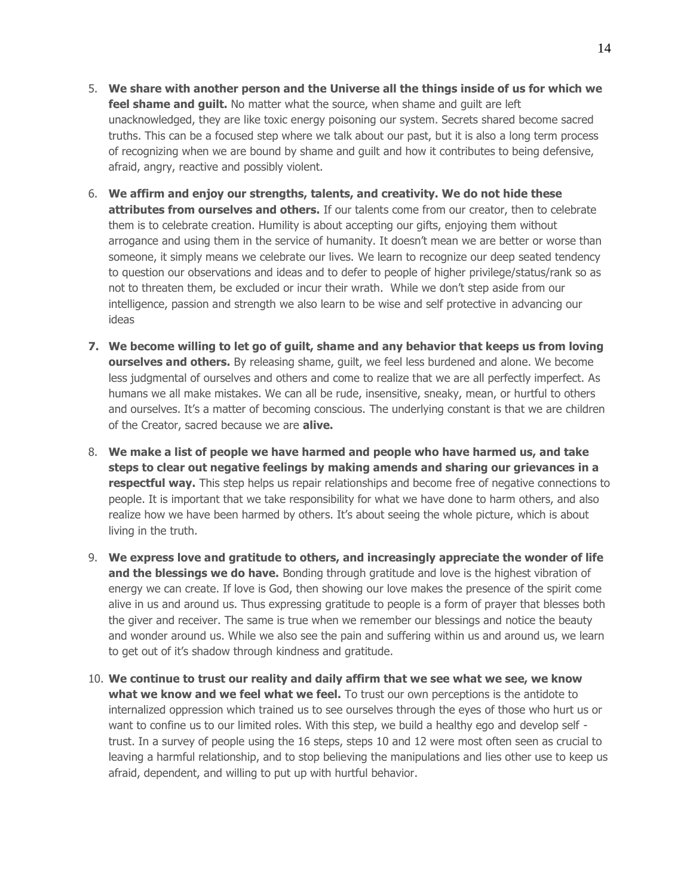- 5. **We share with another person and the Universe all the things inside of us for which we feel shame and quilt.** No matter what the source, when shame and quilt are left unacknowledged, they are like toxic energy poisoning our system. Secrets shared become sacred truths. This can be a focused step where we talk about our past, but it is also a long term process of recognizing when we are bound by shame and guilt and how it contributes to being defensive, afraid, angry, reactive and possibly violent.
- 6. **We affirm and enjoy our strengths, talents, and creativity. We do not hide these attributes from ourselves and others.** If our talents come from our creator, then to celebrate them is to celebrate creation. Humility is about accepting our gifts, enjoying them without arrogance and using them in the service of humanity. It doesn't mean we are better or worse than someone, it simply means we celebrate our lives. We learn to recognize our deep seated tendency to question our observations and ideas and to defer to people of higher privilege/status/rank so as not to threaten them, be excluded or incur their wrath. While we don't step aside from our intelligence, passion and strength we also learn to be wise and self protective in advancing our ideas
- **7. We become willing to let go of guilt, shame and any behavior that keeps us from loving ourselves and others.** By releasing shame, quilt, we feel less burdened and alone. We become less judgmental of ourselves and others and come to realize that we are all perfectly imperfect. As humans we all make mistakes. We can all be rude, insensitive, sneaky, mean, or hurtful to others and ourselves. It's a matter of becoming conscious. The underlying constant is that we are children of the Creator, sacred because we are **alive.**
- 8. **We make a list of people we have harmed and people who have harmed us, and take steps to clear out negative feelings by making amends and sharing our grievances in a respectful way.** This step helps us repair relationships and become free of negative connections to people. It is important that we take responsibility for what we have done to harm others, and also realize how we have been harmed by others. It's about seeing the whole picture, which is about living in the truth.
- 9. **We express love and gratitude to others, and increasingly appreciate the wonder of life and the blessings we do have.** Bonding through gratitude and love is the highest vibration of energy we can create. If love is God, then showing our love makes the presence of the spirit come alive in us and around us. Thus expressing gratitude to people is a form of prayer that blesses both the giver and receiver. The same is true when we remember our blessings and notice the beauty and wonder around us. While we also see the pain and suffering within us and around us, we learn to get out of it's shadow through kindness and gratitude.
- 10. **We continue to trust our reality and daily affirm that we see what we see, we know**  what we know and we feel what we feel. To trust our own perceptions is the antidote to internalized oppression which trained us to see ourselves through the eyes of those who hurt us or want to confine us to our limited roles. With this step, we build a healthy ego and develop self trust. In a survey of people using the 16 steps, steps 10 and 12 were most often seen as crucial to leaving a harmful relationship, and to stop believing the manipulations and lies other use to keep us afraid, dependent, and willing to put up with hurtful behavior.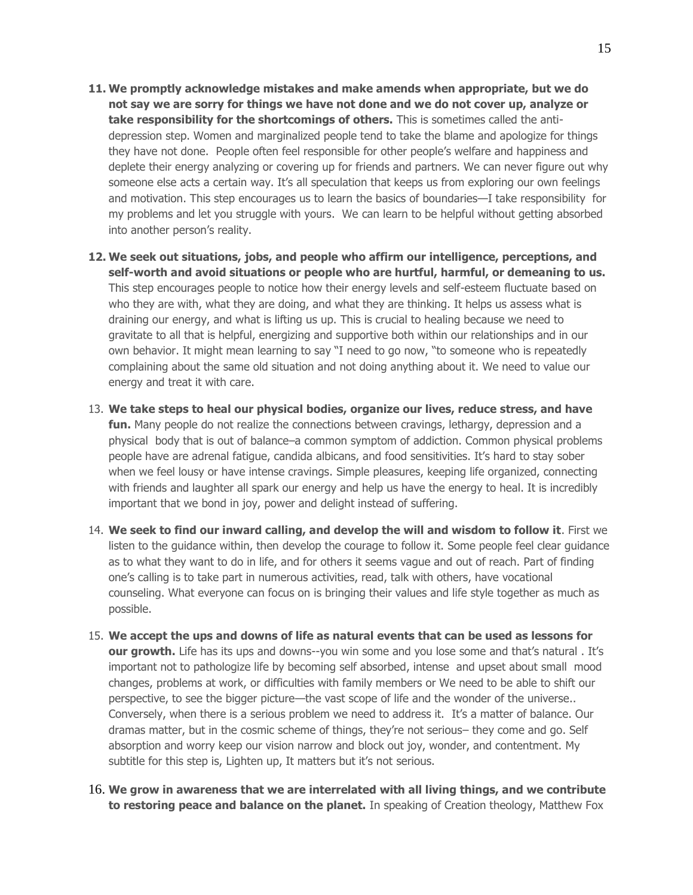- **11. We promptly acknowledge mistakes and make amends when appropriate, but we do not say we are sorry for things we have not done and we do not cover up, analyze or take responsibility for the shortcomings of others.** This is sometimes called the antidepression step. Women and marginalized people tend to take the blame and apologize for things they have not done. People often feel responsible for other people's welfare and happiness and deplete their energy analyzing or covering up for friends and partners. We can never figure out why someone else acts a certain way. It's all speculation that keeps us from exploring our own feelings and motivation. This step encourages us to learn the basics of boundaries—I take responsibility for my problems and let you struggle with yours. We can learn to be helpful without getting absorbed into another person's reality.
- **12. We seek out situations, jobs, and people who affirm our intelligence, perceptions, and self-worth and avoid situations or people who are hurtful, harmful, or demeaning to us.** This step encourages people to notice how their energy levels and self-esteem fluctuate based on who they are with, what they are doing, and what they are thinking. It helps us assess what is draining our energy, and what is lifting us up. This is crucial to healing because we need to gravitate to all that is helpful, energizing and supportive both within our relationships and in our own behavior. It might mean learning to say "I need to go now, "to someone who is repeatedly complaining about the same old situation and not doing anything about it. We need to value our energy and treat it with care.
- 13. **We take steps to heal our physical bodies, organize our lives, reduce stress, and have fun.** Many people do not realize the connections between cravings, lethargy, depression and a physical body that is out of balance–a common symptom of addiction. Common physical problems people have are adrenal fatigue, candida albicans, and food sensitivities. It's hard to stay sober when we feel lousy or have intense cravings. Simple pleasures, keeping life organized, connecting with friends and laughter all spark our energy and help us have the energy to heal. It is incredibly important that we bond in joy, power and delight instead of suffering.
- 14. **We seek to find our inward calling, and develop the will and wisdom to follow it**. First we listen to the guidance within, then develop the courage to follow it. Some people feel clear guidance as to what they want to do in life, and for others it seems vague and out of reach. Part of finding one's calling is to take part in numerous activities, read, talk with others, have vocational counseling. What everyone can focus on is bringing their values and life style together as much as possible.
- 15. **We accept the ups and downs of life as natural events that can be used as lessons for our growth.** Life has its ups and downs--you win some and you lose some and that's natural. It's important not to pathologize life by becoming self absorbed, intense and upset about small mood changes, problems at work, or difficulties with family members or We need to be able to shift our perspective, to see the bigger picture—the vast scope of life and the wonder of the universe.. Conversely, when there is a serious problem we need to address it. It's a matter of balance. Our dramas matter, but in the cosmic scheme of things, they're not serious– they come and go. Self absorption and worry keep our vision narrow and block out joy, wonder, and contentment. My subtitle for this step is, Lighten up, It matters but it's not serious.
- 16. **We grow in awareness that we are interrelated with all living things, and we contribute to restoring peace and balance on the planet.** In speaking of Creation theology, Matthew Fox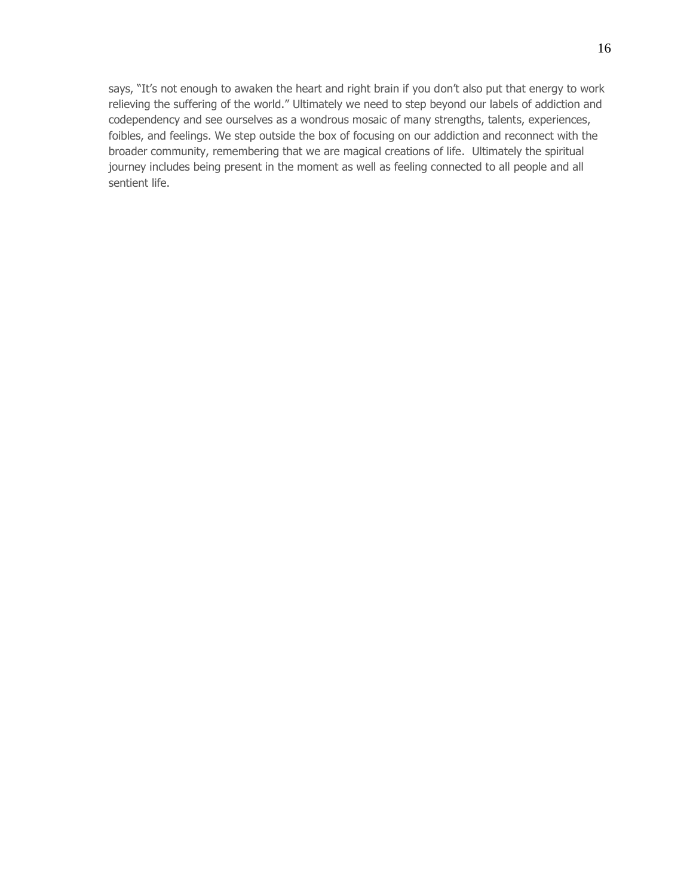says, "It's not enough to awaken the heart and right brain if you don't also put that energy to work relieving the suffering of the world." Ultimately we need to step beyond our labels of addiction and codependency and see ourselves as a wondrous mosaic of many strengths, talents, experiences, foibles, and feelings. We step outside the box of focusing on our addiction and reconnect with the broader community, remembering that we are magical creations of life. Ultimately the spiritual journey includes being present in the moment as well as feeling connected to all people and all sentient life.